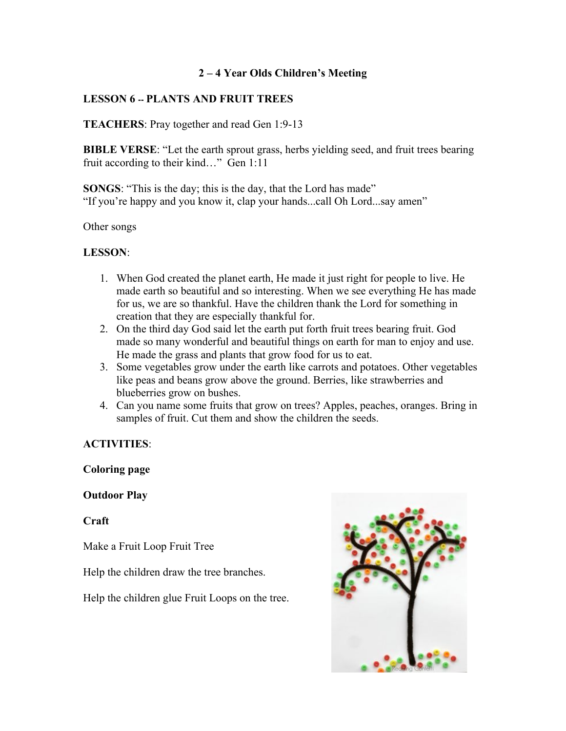# **2 – 4 Year Olds Children's Meeting**

# **LESSON 6 -- PLANTS AND FRUIT TREES**

### **TEACHERS**: Pray together and read Gen 1:9-13

**BIBLE VERSE**: "Let the earth sprout grass, herbs yielding seed, and fruit trees bearing fruit according to their kind…" Gen 1:11

**SONGS**: "This is the day; this is the day, that the Lord has made" "If you're happy and you know it, clap your hands...call Oh Lord...say amen"

Other songs

### **LESSON**:

- 1. When God created the planet earth, He made it just right for people to live. He made earth so beautiful and so interesting. When we see everything He has made for us, we are so thankful. Have the children thank the Lord for something in creation that they are especially thankful for.
- 2. On the third day God said let the earth put forth fruit trees bearing fruit. God made so many wonderful and beautiful things on earth for man to enjoy and use. He made the grass and plants that grow food for us to eat.
- 3. Some vegetables grow under the earth like carrots and potatoes. Other vegetables like peas and beans grow above the ground. Berries, like strawberries and blueberries grow on bushes.
- 4. Can you name some fruits that grow on trees? Apples, peaches, oranges. Bring in samples of fruit. Cut them and show the children the seeds.

### **ACTIVITIES**:

### **Coloring page**

### **Outdoor Play**

**Craft**

Make a Fruit Loop Fruit Tree

Help the children draw the tree branches.

Help the children glue Fruit Loops on the tree.